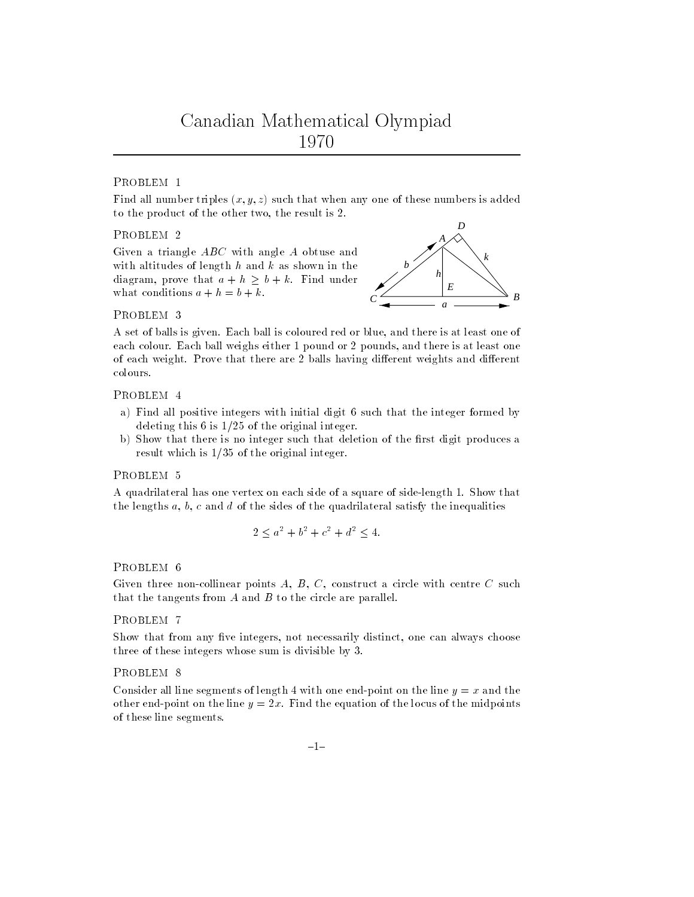Find all number triples  $(x, y, z)$  such that when any one of these numbers is added to the product of the other two, the result is 2.

## PROBLEM 2

Given a triangle ABC with angle A obtuse and with altitudes of length  $h$  and  $k$  as shown in the diagram, prove that  $a + h \geq b + k$ . Find under what conditions  $a + h = b + k$ .



### PROBLEM 3

A set of balls is given. Each ball is coloured red or blue, and there is at least one of each colour. Each ball weighs either 1 pound or 2 pounds, and there is at least one of each weight. Prove that there are 2 balls having different weights and different colours.

## PROBLEM 4

- a) Find all positive integers with initial digit 6 such that the integer formed by deleting this  $6$  is  $1/25$  of the original integer.
- b) Show that there is no integer such that deletion of the first digit produces a result which is  $1/35$  of the original integer.

A quadrilateral has one vertex on each side of a square of side-length 1. Show that the lengths  $a, b, c$  and  $d$  of the sides of the quadrilateral satisfy the inequalities

$$
2 \le a^2 + b^2 + c^2 + d^2 \le 4.
$$

## PROBLEM 6

Given three non-collinear points  $A, B, C$ , construct a circle with centre  $C$  such that the tangents from  $A$  and  $B$  to the circle are parallel.

### PROBLEM 7

Show that from any five integers, not necessarily distinct, one can always choose three of these integers whose sum is divisible by 3.

# PROBLEM<sub>8</sub>

Consider all line segments of length 4 with one end-point on the line  $y = x$  and the other end-point on the line  $y = 2x$ . Find the equation of the locus of the midpoints of these line segments.